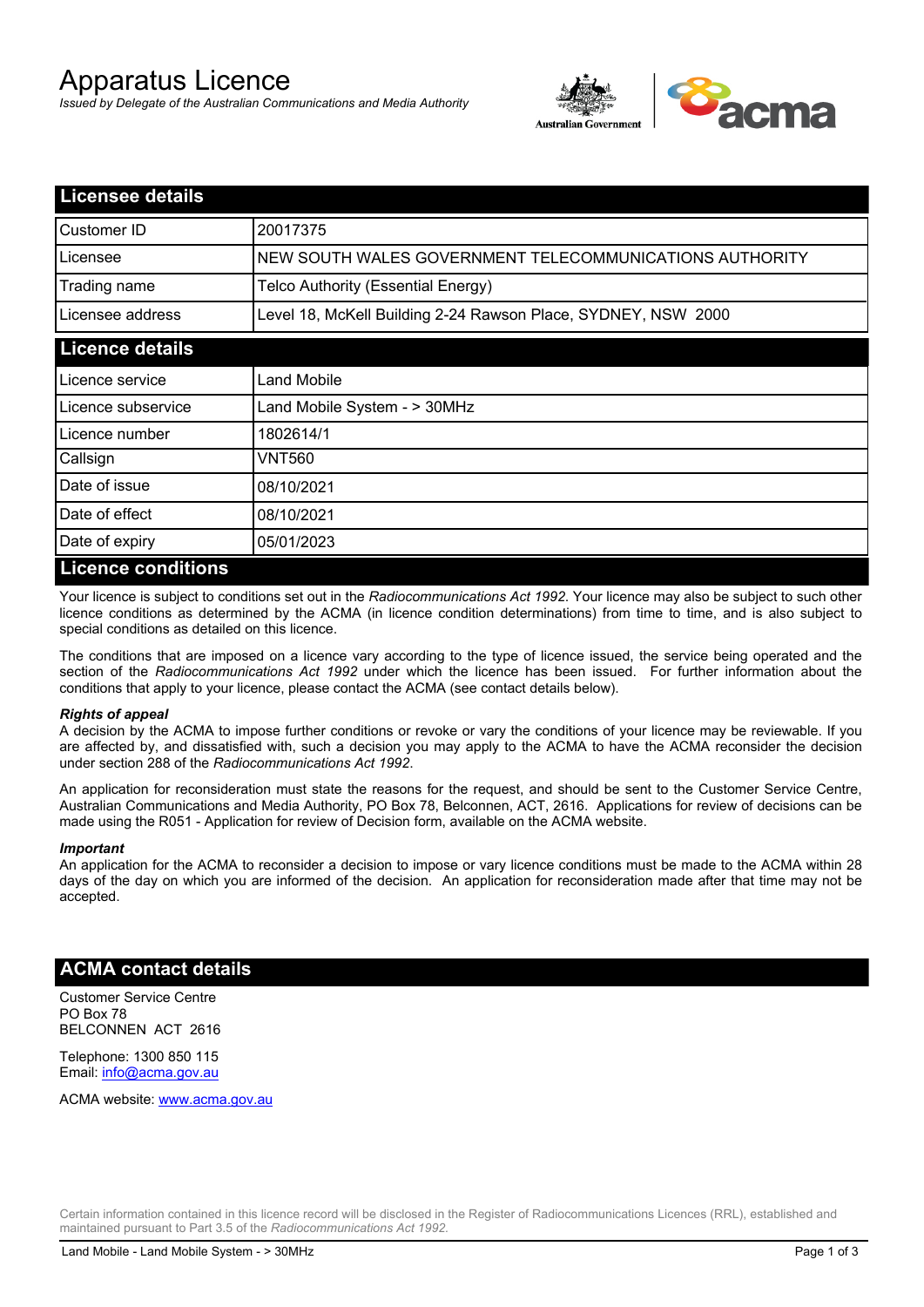# Apparatus Licence

*Issued by Delegate of the Australian Communications and Media Authority*



| <b>Licensee details</b>    |                                                               |
|----------------------------|---------------------------------------------------------------|
| Customer ID                | 20017375                                                      |
| Licensee                   | NEW SOUTH WALES GOVERNMENT TELECOMMUNICATIONS AUTHORITY       |
| Trading name               | Telco Authority (Essential Energy)                            |
| Licensee address           | Level 18, McKell Building 2-24 Rawson Place, SYDNEY, NSW 2000 |
| <b>Licence details</b>     |                                                               |
| Licence service            | Land Mobile                                                   |
| Licence subservice         | Land Mobile System - > 30MHz                                  |
| Licence number             | 1802614/1                                                     |
| Callsign                   | VNT560                                                        |
| Date of issue              | 08/10/2021                                                    |
| Date of effect             | 08/10/2021                                                    |
| Date of expiry             | 05/01/2023                                                    |
| <u>I icence conditions</u> |                                                               |

## **Licence conditions**

Your licence is subject to conditions set out in the *Radiocommunications Act 1992*. Your licence may also be subject to such other licence conditions as determined by the ACMA (in licence condition determinations) from time to time, and is also subject to special conditions as detailed on this licence.

The conditions that are imposed on a licence vary according to the type of licence issued, the service being operated and the section of the *Radiocommunications Act 1992* under which the licence has been issued. For further information about the conditions that apply to your licence, please contact the ACMA (see contact details below).

#### *Rights of appeal*

A decision by the ACMA to impose further conditions or revoke or vary the conditions of your licence may be reviewable. If you are affected by, and dissatisfied with, such a decision you may apply to the ACMA to have the ACMA reconsider the decision under section 288 of the *Radiocommunications Act 1992*.

An application for reconsideration must state the reasons for the request, and should be sent to the Customer Service Centre, Australian Communications and Media Authority, PO Box 78, Belconnen, ACT, 2616. Applications for review of decisions can be made using the R051 - Application for review of Decision form, available on the ACMA website.

#### *Important*

An application for the ACMA to reconsider a decision to impose or vary licence conditions must be made to the ACMA within 28 days of the day on which you are informed of the decision. An application for reconsideration made after that time may not be accepted.

### **ACMA contact details**

Customer Service Centre PO Box 78 BELCONNEN ACT 2616

Telephone: 1300 850 115 Email: info@acma.gov.au

ACMA website: www.acma.gov.au

Certain information contained in this licence record will be disclosed in the Register of Radiocommunications Licences (RRL), established and maintained pursuant to Part 3.5 of the *Radiocommunications Act 1992.*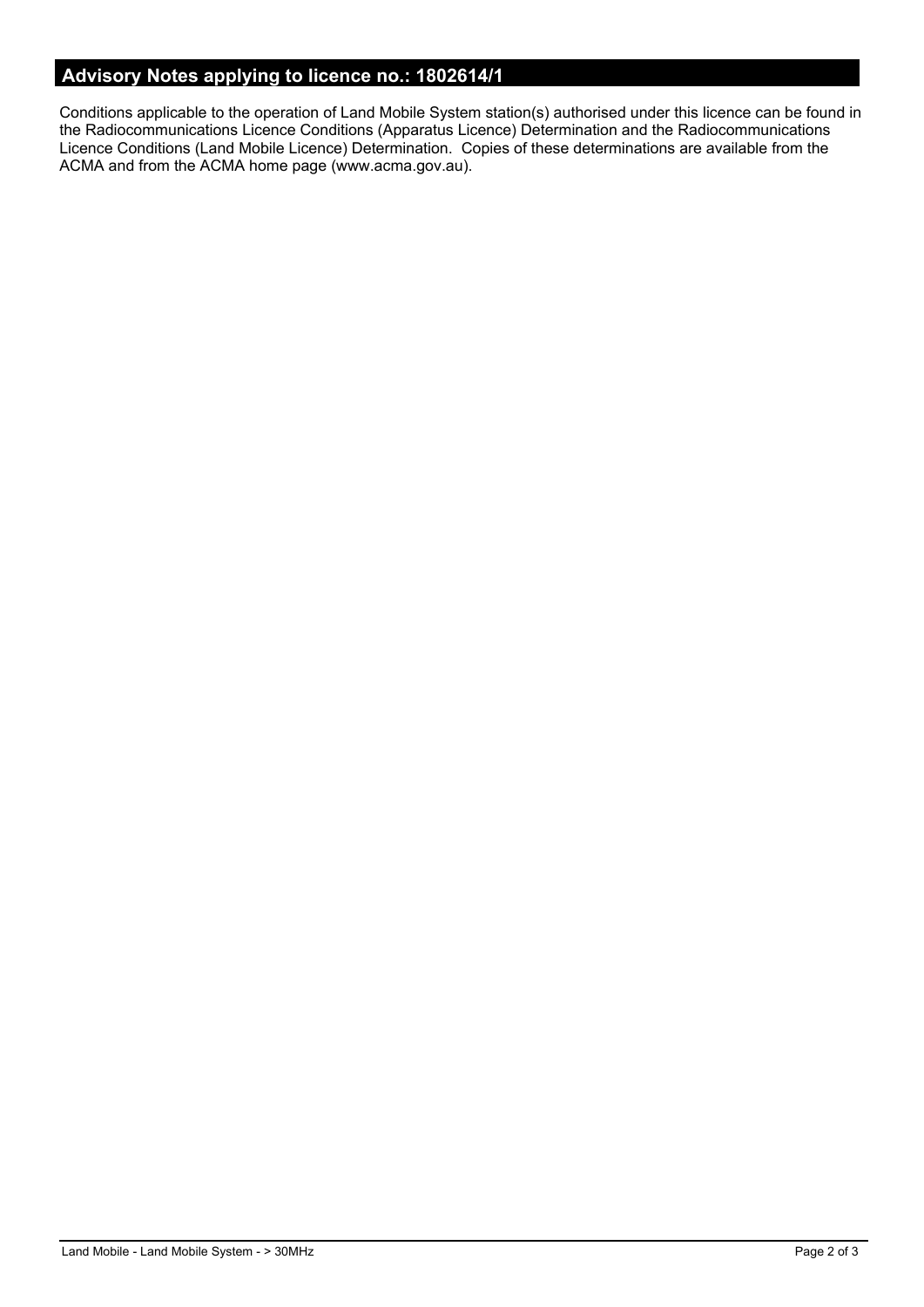# **Advisory Notes applying to licence no.: 1802614/1**

Conditions applicable to the operation of Land Mobile System station(s) authorised under this licence can be found in the Radiocommunications Licence Conditions (Apparatus Licence) Determination and the Radiocommunications Licence Conditions (Land Mobile Licence) Determination. Copies of these determinations are available from the ACMA and from the ACMA home page (www.acma.gov.au).